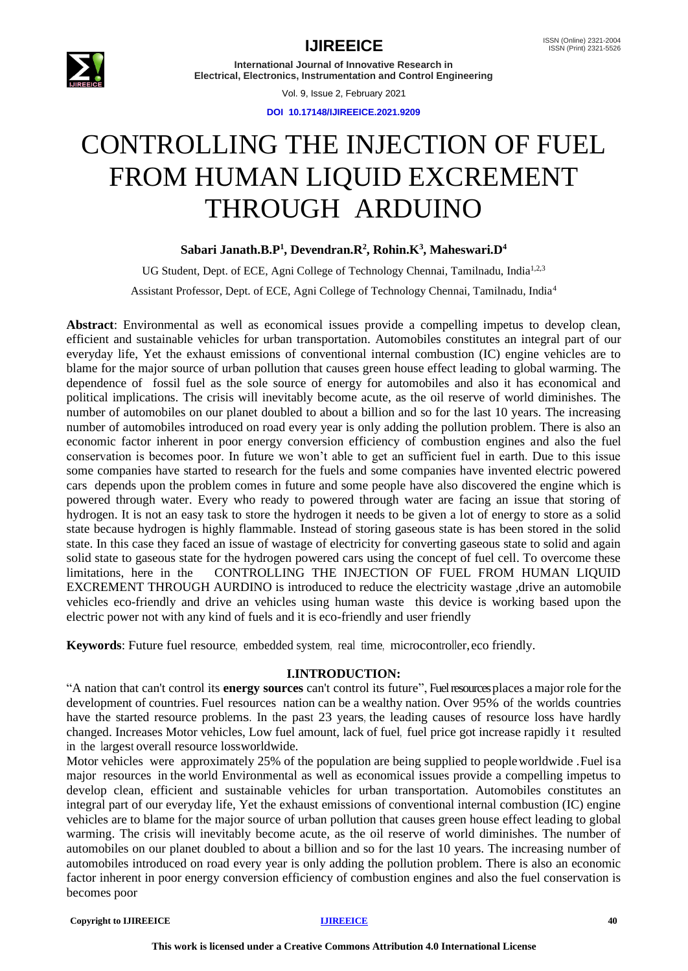

# **IJIREEICE ISSN** (Online) 2321-2004

**International Journal of Innovative Research in Electrical, Electronics, Instrumentation and Control Engineering**

Vol. 9, Issue 2, February 2021

**DOI 10.17148/IJIREEICE.2021.9209**

# CONTROLLING THE INJECTION OF FUEL FROM HUMAN LIQUID EXCREMENT THROUGH ARDUINO

# **Sabari Janath.B.P<sup>1</sup> , Devendran.R<sup>2</sup> , Rohin.K<sup>3</sup> , Maheswari.D<sup>4</sup>**

UG Student, Dept. of ECE, Agni College of Technology Chennai, Tamilnadu, India<sup>1,2,3</sup> Assistant Professor, Dept. of ECE, Agni College of Technology Chennai, Tamilnadu, India<sup>4</sup>

**Abstract**: Environmental as well as economical issues provide a compelling impetus to develop clean, efficient and sustainable vehicles for urban transportation. Automobiles constitutes an integral part of our everyday life, Yet the exhaust emissions of conventional internal combustion (IC) engine vehicles are to blame for the major source of urban pollution that causes green house effect leading to global warming. The dependence of fossil fuel as the sole source of energy for automobiles and also it has economical and political implications. The crisis will inevitably become acute, as the oil reserve of world diminishes. The number of automobiles on our planet doubled to about a billion and so for the last 10 years. The increasing number of automobiles introduced on road every year is only adding the pollution problem. There is also an economic factor inherent in poor energy conversion efficiency of combustion engines and also the fuel conservation is becomes poor. In future we won't able to get an sufficient fuel in earth. Due to this issue some companies have started to research for the fuels and some companies have invented electric powered cars depends upon the problem comes in future and some people have also discovered the engine which is powered through water. Every who ready to powered through water are facing an issue that storing of hydrogen. It is not an easy task to store the hydrogen it needs to be given a lot of energy to store as a solid state because hydrogen is highly flammable. Instead of storing gaseous state is has been stored in the solid state. In this case they faced an issue of wastage of electricity for converting gaseous state to solid and again solid state to gaseous state for the hydrogen powered cars using the concept of fuel cell. To overcome these limitations, here in the CONTROLLING THE INJECTION OF FUEL FROM HUMAN LIQUID EXCREMENT THROUGH AURDINO is introduced to reduce the electricity wastage ,drive an automobile vehicles eco-friendly and drive an vehicles using human waste this device is working based upon the electric power not with any kind of fuels and it is eco-friendly and user friendly

**Keywords**: Future fuel resource, embedded system, real time, microcontroller,eco friendly.

# **I.INTRODUCTION:**

"A nation that can't control its **energy sources** can't control its future", Fuel resourcesplaces a major role for the development of countries. Fuel resources nation can be a wealthy nation. Over 95% of the worlds countries have the started resource problems. In the past 23 years, the leading causes of resource loss have hardly changed. Increases Motor vehicles, Low fuel amount, lack of fuel, fuel price got increase rapidly it resulted in the largest overall resource lossworldwide.

Motor vehicles were approximately 25% of the population are being supplied to peopleworldwide .Fuel isa major resources in the world Environmental as well as economical issues provide a compelling impetus to develop clean, efficient and sustainable vehicles for urban transportation. Automobiles constitutes an integral part of our everyday life, Yet the exhaust emissions of conventional internal combustion (IC) engine vehicles are to blame for the major source of urban pollution that causes green house effect leading to global warming. The crisis will inevitably become acute, as the oil reserve of world diminishes. The number of automobiles on our planet doubled to about a billion and so for the last 10 years. The increasing number of automobiles introduced on road every year is only adding the pollution problem. There is also an economic factor inherent in poor energy conversion efficiency of combustion engines and also the fuel conservation is becomes poor

#### **Copyright to IJIREEICE** 40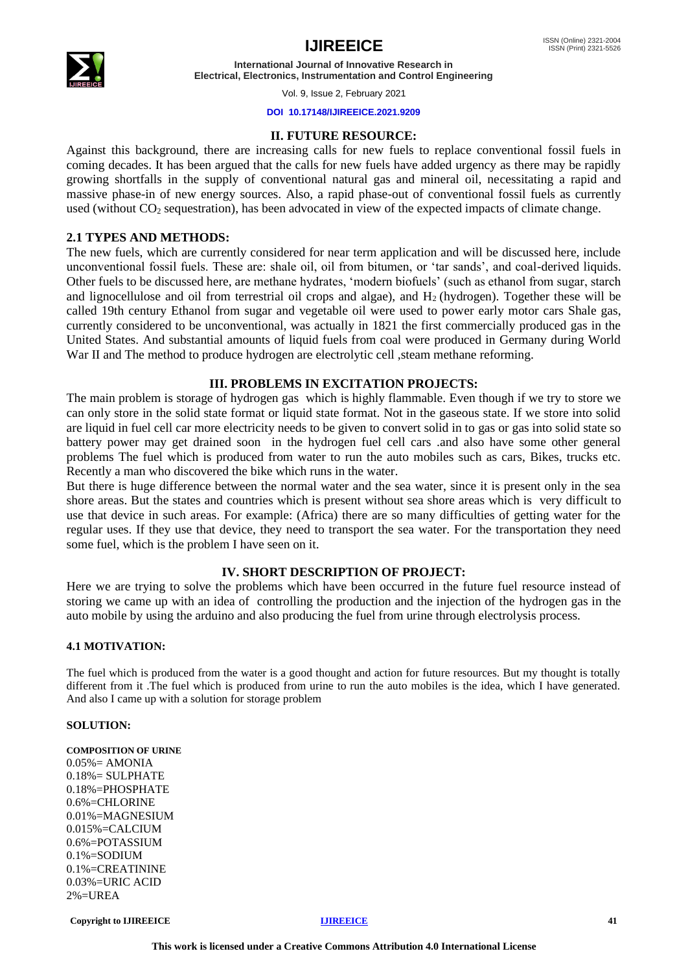

**International Journal of Innovative Research in Electrical, Electronics, Instrumentation and Control Engineering**

Vol. 9, Issue 2, February 2021

#### **DOI 10.17148/IJIREEICE.2021.9209**

### **II. FUTURE RESOURCE:**

Against this background, there are increasing calls for new fuels to replace conventional fossil fuels in coming decades. It has been argued that the calls for new fuels have added urgency as there may be rapidly growing shortfalls in the supply of conventional natural gas and mineral oil, necessitating a rapid and massive phase-in of new energy sources. Also, a rapid phase-out of conventional fossil fuels as currently used (without CO<sub>2</sub> sequestration), has been advocated in view of the expected impacts of climate change.

### **2.1 TYPES AND METHODS:**

The new fuels, which are currently considered for near term application and will be discussed here, include unconventional fossil fuels. These are: shale oil, oil from bitumen, or 'tar sands', and coal-derived liquids. Other fuels to be discussed here, are methane hydrates, 'modern biofuels' (such as ethanol from sugar, starch and lignocellulose and oil from terrestrial oil crops and algae), and  $H_2$  (hydrogen). Together these will be called 19th century Ethanol from sugar and vegetable oil were used to power early motor cars Shale gas, currently considered to be unconventional, was actually in 1821 the first commercially produced gas in the United States. And substantial amounts of liquid fuels from coal were produced in Germany during World War II and The method to produce hydrogen are electrolytic cell, steam methane reforming.

### **III. PROBLEMS IN EXCITATION PROJECTS:**

The main problem is storage of hydrogen gas which is highly flammable. Even though if we try to store we can only store in the solid state format or liquid state format. Not in the gaseous state. If we store into solid are liquid in fuel cell car more electricity needs to be given to convert solid in to gas or gas into solid state so battery power may get drained soon in the hydrogen fuel cell cars .and also have some other general problems The fuel which is produced from water to run the auto mobiles such as cars, Bikes, trucks etc. Recently a man who discovered the bike which runs in the water.

But there is huge difference between the normal water and the sea water, since it is present only in the sea shore areas. But the states and countries which is present without sea shore areas which is very difficult to use that device in such areas. For example: (Africa) there are so many difficulties of getting water for the regular uses. If they use that device, they need to transport the sea water. For the transportation they need some fuel, which is the problem I have seen on it.

### **IV. SHORT DESCRIPTION OF PROJECT:**

Here we are trying to solve the problems which have been occurred in the future fuel resource instead of storing we came up with an idea of controlling the production and the injection of the hydrogen gas in the auto mobile by using the arduino and also producing the fuel from urine through electrolysis process.

#### **4.1 MOTIVATION:**

The fuel which is produced from the water is a good thought and action for future resources. But my thought is totally different from it .The fuel which is produced from urine to run the auto mobiles is the idea, which I have generated. And also I came up with a solution for storage problem

#### **SOLUTION:**

**COMPOSITION OF URINE**  $0.05\% = AMONIA$ 0.18%= SULPHATE 0.18%=PHOSPHATE 0.6%=CHLORINE 0.01%=MAGNESIUM 0.015%=CALCIUM 0.6%=POTASSIUM 0.1%=SODIUM 0.1%=CREATININE 0.03%=URIC ACID  $2\% = IIREA$ 

**Copyright to IJIREEICE [IJIREEICE](https://ijireeice.com/) 41**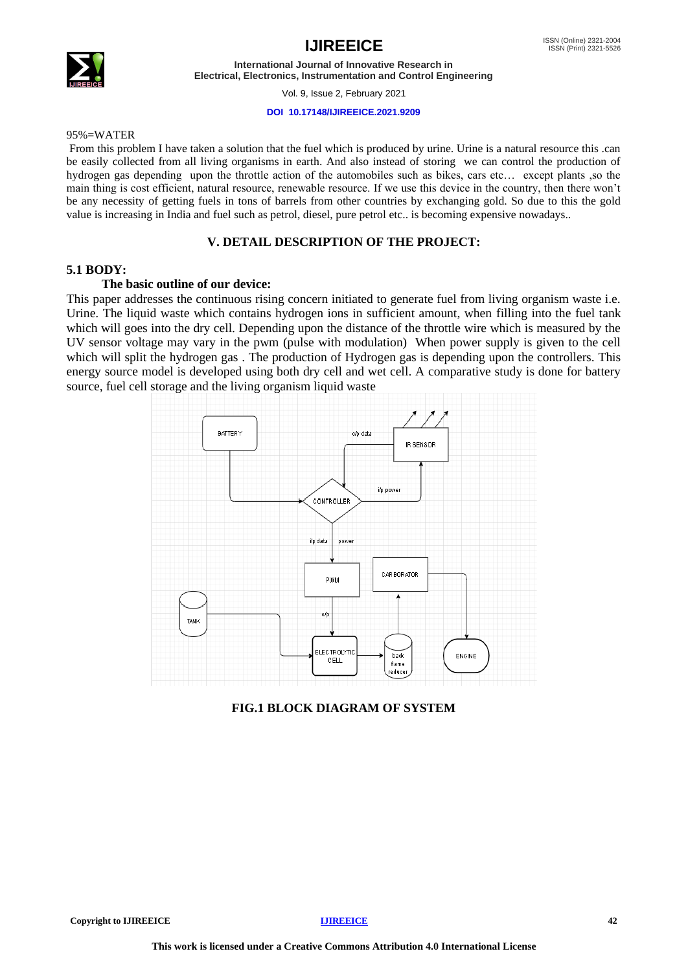



**International Journal of Innovative Research in Electrical, Electronics, Instrumentation and Control Engineering**

Vol. 9, Issue 2, February 2021

#### **DOI 10.17148/IJIREEICE.2021.9209**

#### 95%=WATER

From this problem I have taken a solution that the fuel which is produced by urine. Urine is a natural resource this .can be easily collected from all living organisms in earth. And also instead of storing we can control the production of hydrogen gas depending upon the throttle action of the automobiles such as bikes, cars etc… except plants ,so the main thing is cost efficient, natural resource, renewable resource. If we use this device in the country, then there won't be any necessity of getting fuels in tons of barrels from other countries by exchanging gold. So due to this the gold value is increasing in India and fuel such as petrol, diesel, pure petrol etc.. is becoming expensive nowadays..

### **V. DETAIL DESCRIPTION OF THE PROJECT:**

### **5.1 BODY:**

#### **The basic outline of our device:**

This paper addresses the continuous rising concern initiated to generate fuel from living organism waste i.e. Urine. The liquid waste which contains hydrogen ions in sufficient amount, when filling into the fuel tank which will goes into the dry cell. Depending upon the distance of the throttle wire which is measured by the UV sensor voltage may vary in the pwm (pulse with modulation) When power supply is given to the cell which will split the hydrogen gas. The production of Hydrogen gas is depending upon the controllers. This energy source model is developed using both dry cell and wet cell. A comparative study is done for battery source, fuel cell storage and the living organism liquid waste



**FIG.1 BLOCK DIAGRAM OF SYSTEM**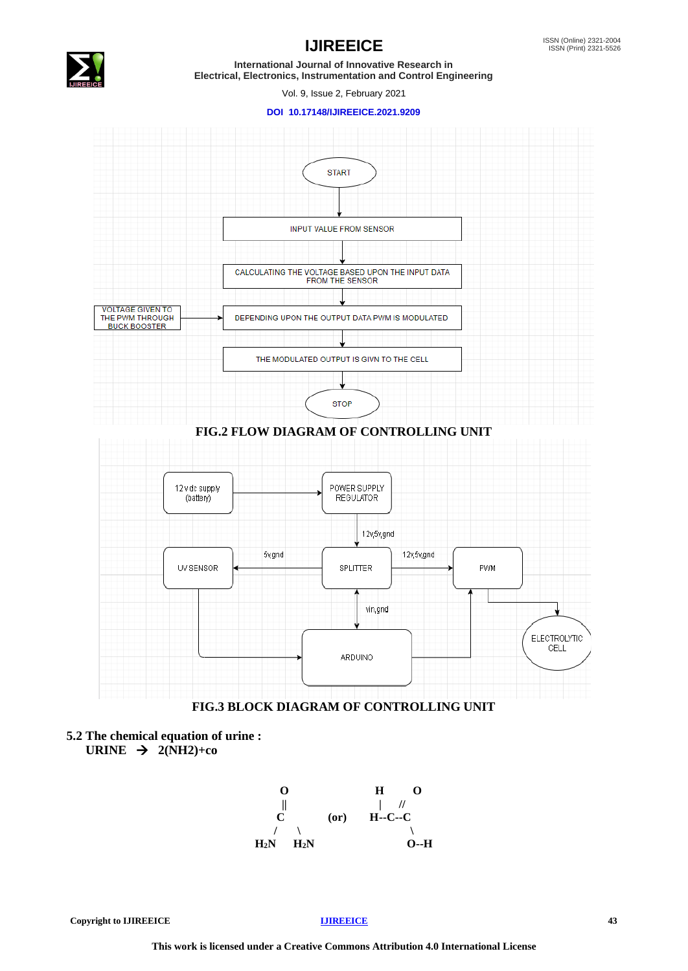

# **IJIREEICE ISSN** (Online) 2321-2004

**International Journal of Innovative Research in Electrical, Electronics, Instrumentation and Control Engineering**

Vol. 9, Issue 2, February 2021

#### **DOI 10.17148/IJIREEICE.2021.9209**



**5.2 The chemical equation of urine :** URINE  $\rightarrow$  2(NH2)+co

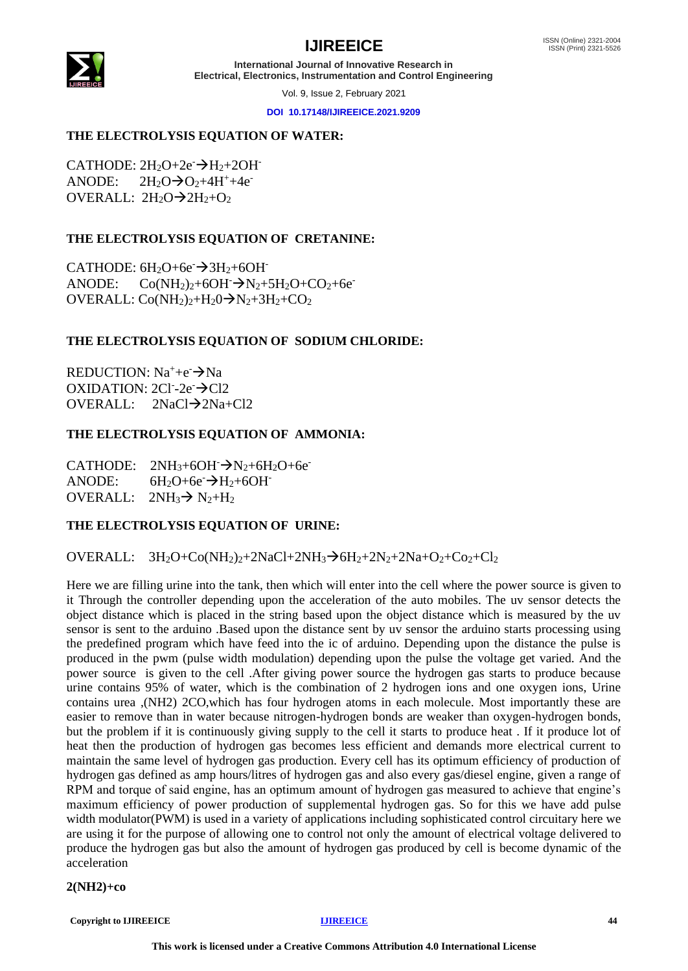# **IJIREEICE ISSN** (Online) 2321-2004



**International Journal of Innovative Research in Electrical, Electronics, Instrumentation and Control Engineering**

Vol. 9, Issue 2, February 2021

**DOI 10.17148/IJIREEICE.2021.9209**

# **THE ELECTROLYSIS EQUATION OF WATER:**

CATHODE:  $2H_2O+2e^ \rightarrow H_2+2OH^-$ ANODE:  $2H_2O \rightarrow O_2+4H^+ +4e^ OVERAIL: 2H<sub>2</sub>O \rightarrow 2H<sub>2</sub>+O<sub>2</sub>$ 

# **THE ELECTROLYSIS EQUATION OF CRETANINE:**

CATHODE:  $6H_2O+6e \rightarrow 3H_2+6OH$ ANODE:  $Co(NH_2)_2+6OH \rightarrow N_2+5H_2O+CO_2+6e^{-}$ OVERALL:  $Co(NH_2)_2+H_2O \rightarrow N_2+3H_2+CO_2$ 

# **THE ELECTROLYSIS EQUATION OF SODIUM CHLORIDE:**

REDUCTION:  $Na^+ + e^- \rightarrow Na$ OXIDATION:  $2CI - 2e^- \rightarrow Cl2$ OVERALL: 2NaCl→2Na+Cl2

# **THE ELECTROLYSIS EQUATION OF AMMONIA:**

CATHODE:  $2NH_3+6OH^ \rightarrow$ N<sub>2</sub>+6H<sub>2</sub>O+6e<sup>-</sup> ANODE:  $6H_2O+6e^- \rightarrow H_2+6OH^-$ OVERALL:  $2NH_3 \rightarrow N_2+H_2$ 

# **THE ELECTROLYSIS EQUATION OF URINE:**

# OVERALL:  $3H_2O+Co(NH_2)_2+2NaCl+2NH_3 \rightarrow 6H_2+2N_2+2Na+O_2+Co_2+Cl_2$

Here we are filling urine into the tank, then which will enter into the cell where the power source is given to it Through the controller depending upon the acceleration of the auto mobiles. The uv sensor detects the object distance which is placed in the string based upon the object distance which is measured by the uv sensor is sent to the arduino .Based upon the distance sent by uv sensor the arduino starts processing using the predefined program which have feed into the ic of arduino. Depending upon the distance the pulse is produced in the pwm (pulse width modulation) depending upon the pulse the voltage get varied. And the power source is given to the cell .After giving power source the hydrogen gas starts to produce because urine contains 95% of water, which is the combination of 2 hydrogen ions and one oxygen ions, Urine contains urea ,(NH2) 2CO,which has four hydrogen atoms in each molecule. Most importantly these are easier to remove than in water because nitrogen-hydrogen bonds are weaker than oxygen-hydrogen bonds, but the problem if it is continuously giving supply to the cell it starts to produce heat . If it produce lot of heat then the production of hydrogen gas becomes less efficient and demands more electrical current to maintain the same level of hydrogen gas production. Every cell has its optimum efficiency of production of hydrogen gas defined as amp hours/litres of hydrogen gas and also every gas/diesel engine, given a range of RPM and torque of said engine, has an optimum amount of hydrogen gas measured to achieve that engine's maximum efficiency of power production of supplemental hydrogen gas. So for this we have add pulse width modulator(PWM) is used in a variety of applications including sophisticated control circuitary here we are using it for the purpose of allowing one to control not only the amount of electrical voltage delivered to produce the hydrogen gas but also the amount of hydrogen gas produced by cell is become dynamic of the acceleration

**2(NH2)+co** 

**Copyright to IJIREEICE** 44